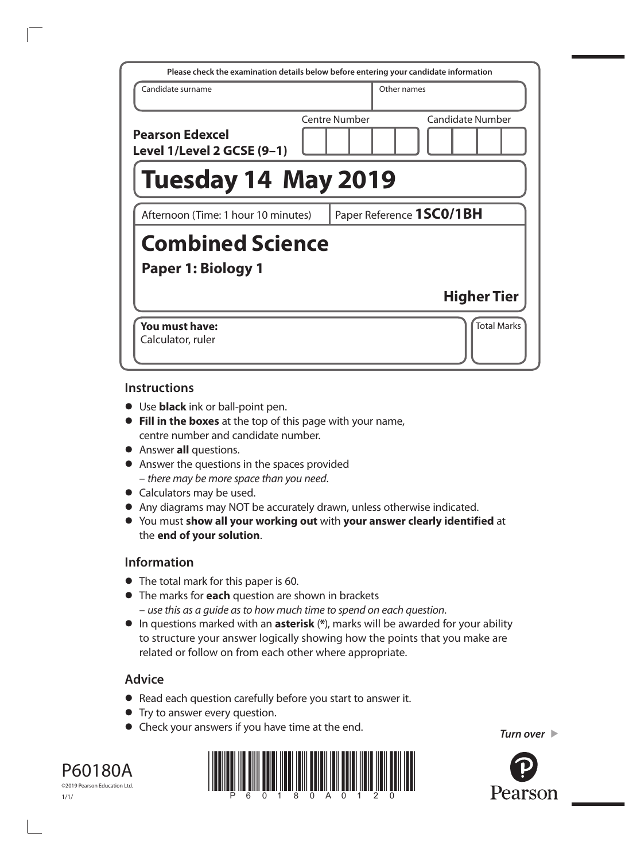| Please check the examination details below before entering your candidate information |                      |                          |
|---------------------------------------------------------------------------------------|----------------------|--------------------------|
| Candidate surname                                                                     |                      | Other names              |
| <b>Pearson Edexcel</b><br>Level 1/Level 2 GCSE (9-1)                                  | <b>Centre Number</b> | <b>Candidate Number</b>  |
| Tuesday 14 May 2019                                                                   |                      |                          |
| Afternoon (Time: 1 hour 10 minutes)                                                   |                      | Paper Reference 1SC0/1BH |
| <b>Combined Science</b><br><b>Paper 1: Biology 1</b>                                  |                      |                          |
|                                                                                       |                      | <b>Higher Tier</b>       |
| You must have:<br>Calculator, ruler                                                   |                      | <b>Total Marks</b>       |

#### **Instructions**

- **•** Use **black** ink or ball-point pen.
- **• Fill in the boxes** at the top of this page with your name, centre number and candidate number.
- **•** Answer **all** questions.
- **•** Answer the questions in the spaces provided – *there may be more space than you need*.
- **•** Calculators may be used.
- **•** Any diagrams may NOT be accurately drawn, unless otherwise indicated.
- **•** You must **show all your working out** with **your answer clearly identified** at the **end of your solution**.

## **Information**

- **•** The total mark for this paper is 60.
- **•** The marks for **each** question are shown in brackets – *use this as a guide as to how much time to spend on each question*.
- **•** In questions marked with an **asterisk** (**\***), marks will be awarded for your ability to structure your answer logically showing how the points that you make are related or follow on from each other where appropriate.

# **Advice**

- **•** Read each question carefully before you start to answer it.
- **•** Try to answer every question.
- **•** Check your answers if you have time at the end.





*Turn over* 

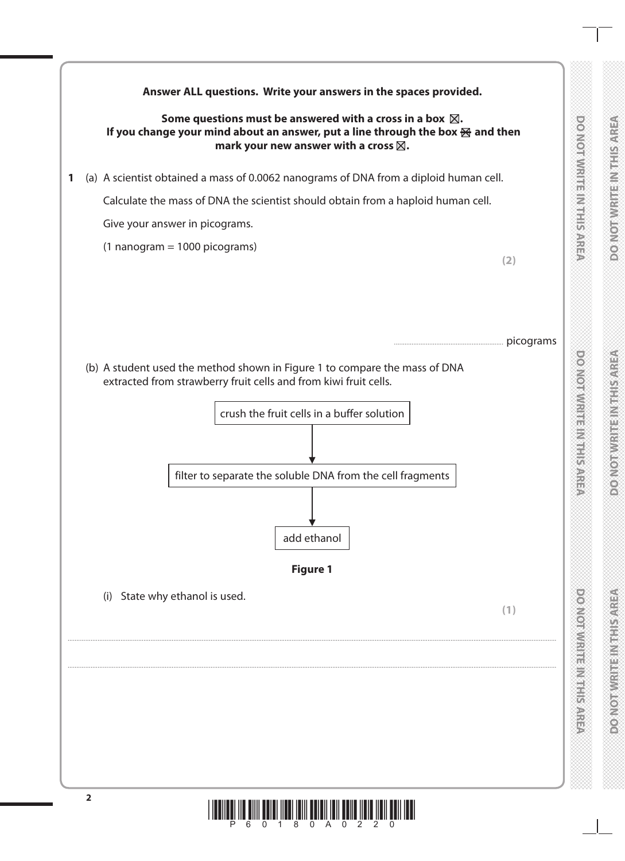

"6" 0"1" 8" 0" A" 0" 2" 2" C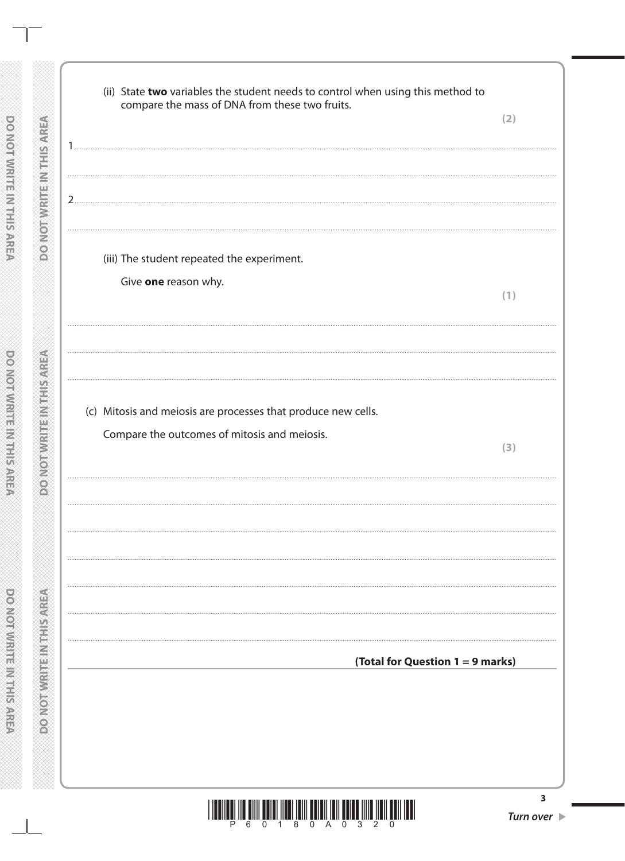**DO NOT WRITE IN THIS AREA** 

 $\mathbb{R}$ 

| (ii) State two variables the student needs to control when using this method to<br>compare the mass of DNA from these two fruits. | (2)                                  |
|-----------------------------------------------------------------------------------------------------------------------------------|--------------------------------------|
| $2_{\cdot\cdot}$                                                                                                                  |                                      |
|                                                                                                                                   |                                      |
| (iii) The student repeated the experiment.<br>Give one reason why.                                                                | (1)                                  |
|                                                                                                                                   |                                      |
| (c) Mitosis and meiosis are processes that produce new cells.<br>Compare the outcomes of mitosis and meiosis.                     | (3)                                  |
|                                                                                                                                   |                                      |
|                                                                                                                                   |                                      |
| (Total for Question 1 = 9 marks)                                                                                                  |                                      |
|                                                                                                                                   |                                      |
|                                                                                                                                   | 3<br>Turn over $\blacktriangleright$ |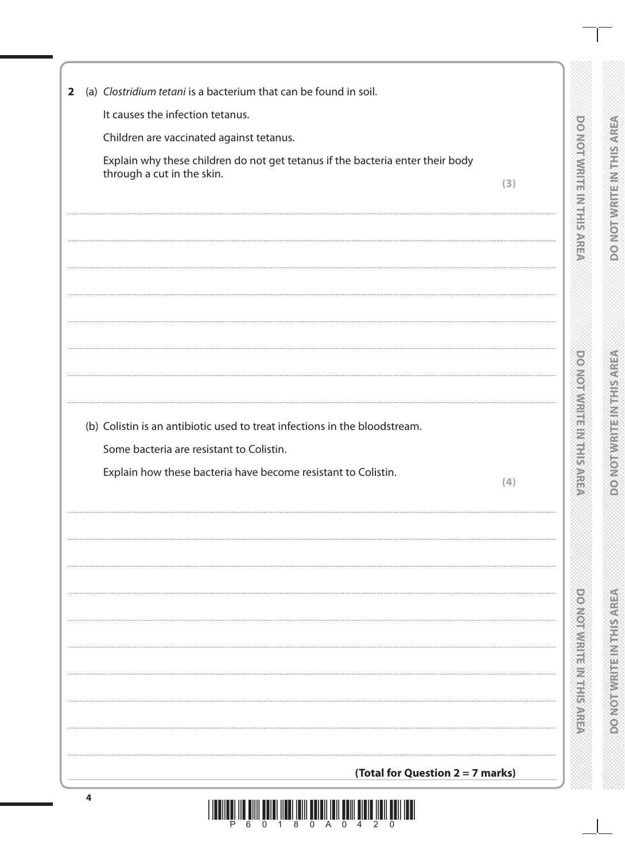| (a) Clostridium tetani is a bacterium that can be found in soil.<br>It causes the infection tetanus.                                                                                    |     |                                      |    |
|-----------------------------------------------------------------------------------------------------------------------------------------------------------------------------------------|-----|--------------------------------------|----|
| Children are vaccinated against tetanus.                                                                                                                                                |     |                                      | ÊÊ |
| Explain why these children do not get tetanus if the bacteria enter their body<br>through a cut in the skin.                                                                            | (3) | <b>DO NOTAWRITE</b><br><b>MATHER</b> |    |
| (b) Colistin is an antibiotic used to treat infections in the bloodstream.<br>Some bacteria are resistant to Colistin.<br>Explain how these bacteria have become resistant to Colistin. | 4   | <b>DOING NUMBER</b>                  |    |
|                                                                                                                                                                                         |     | <b>Morowrite Maries Are</b>          |    |
| (Total for Question 2 = 7 marks)                                                                                                                                                        |     |                                      |    |

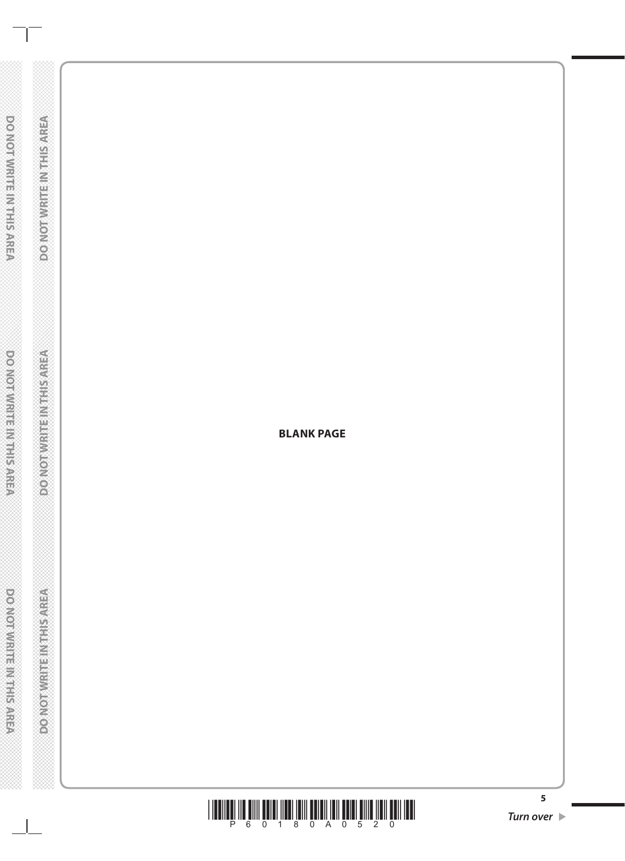| A               |  |
|-----------------|--|
|                 |  |
| è               |  |
|                 |  |
|                 |  |
| ۷               |  |
|                 |  |
|                 |  |
|                 |  |
|                 |  |
|                 |  |
|                 |  |
| $\tilde{\circ}$ |  |
|                 |  |
|                 |  |
|                 |  |
| ₩               |  |
|                 |  |
|                 |  |
| €<br>ń          |  |
|                 |  |
|                 |  |
| Š               |  |
| ì.              |  |
|                 |  |
|                 |  |
|                 |  |
| ı               |  |
|                 |  |
|                 |  |
|                 |  |
| ₩               |  |
|                 |  |
|                 |  |
| ĥń              |  |
|                 |  |
|                 |  |
|                 |  |
|                 |  |
|                 |  |
|                 |  |
| ž               |  |
|                 |  |
|                 |  |
|                 |  |
| ₩               |  |
|                 |  |
|                 |  |
|                 |  |
|                 |  |
|                 |  |
|                 |  |
|                 |  |
| e<br>15         |  |
|                 |  |
|                 |  |
|                 |  |
| š               |  |
|                 |  |
|                 |  |
|                 |  |
|                 |  |
|                 |  |
|                 |  |
|                 |  |
| a<br>Ri         |  |
| Þ<br>i          |  |
|                 |  |
|                 |  |
|                 |  |
|                 |  |

**DO NOTWRITE IN THIS AREA** 

**DONOTWRITEINTHSAREA** 

DO NOT WRITE IN THIS AREA **DO NOT WRITE IN THIS AREA DO NOT WRITE IN THIS AREA DO NOT WRITE IN THIS AREA**

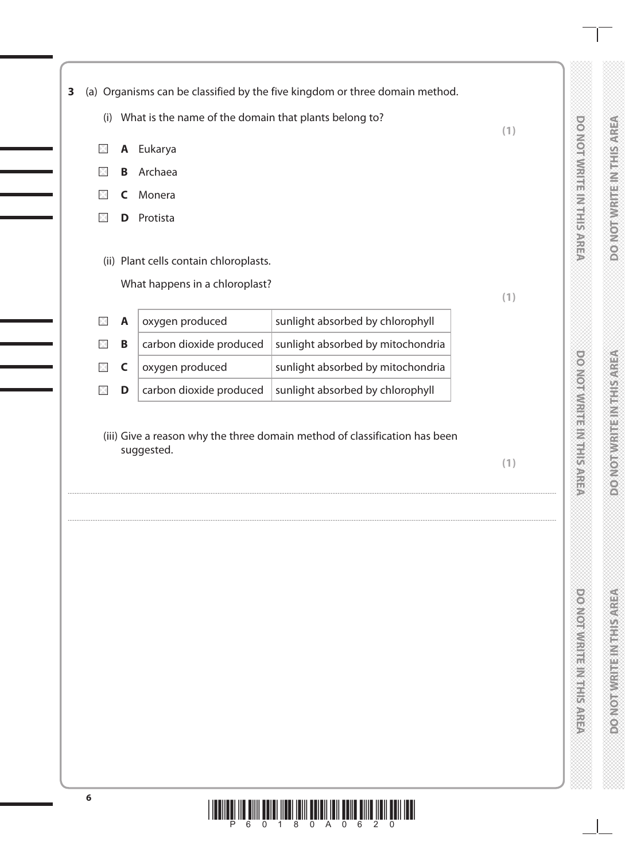| 3 |              |              |                                                           | (a) Organisms can be classified by the five kingdom or three domain method. |     |                                |                     |
|---|--------------|--------------|-----------------------------------------------------------|-----------------------------------------------------------------------------|-----|--------------------------------|---------------------|
|   |              |              | (i) What is the name of the domain that plants belong to? |                                                                             |     |                                |                     |
|   | $\mathbb{X}$ |              | A Eukarya                                                 |                                                                             | (1) |                                | n<br>C              |
|   |              | B            | Archaea                                                   |                                                                             |     |                                |                     |
|   |              | C            | Monera                                                    |                                                                             |     |                                |                     |
|   | $\times$     | D            | Protista                                                  |                                                                             |     | <b>DONORMENTE NEISSARE</b>     |                     |
|   |              |              |                                                           |                                                                             |     |                                |                     |
|   |              |              | (ii) Plant cells contain chloroplasts.                    |                                                                             |     |                                |                     |
|   |              |              | What happens in a chloroplast?                            |                                                                             | (1) |                                |                     |
|   | $\boxtimes$  | A            | oxygen produced                                           | sunlight absorbed by chlorophyll                                            |     |                                |                     |
|   | $\times$     | B            | carbon dioxide produced                                   | sunlight absorbed by mitochondria                                           |     |                                |                     |
|   | $\times$     | $\mathsf{C}$ | oxygen produced                                           | sunlight absorbed by mitochondria                                           |     |                                |                     |
|   | $\times$     | D            | carbon dioxide produced                                   | sunlight absorbed by chlorophyll                                            |     |                                |                     |
|   |              |              | suggested.                                                | (iii) Give a reason why the three domain method of classification has been  | (1) |                                |                     |
|   |              |              |                                                           |                                                                             |     |                                |                     |
|   |              |              |                                                           |                                                                             |     | <b>DOMNATION AND PRESENTED</b> | i<br>Isa<br>Î<br>ûû |
|   |              |              |                                                           |                                                                             |     |                                |                     |

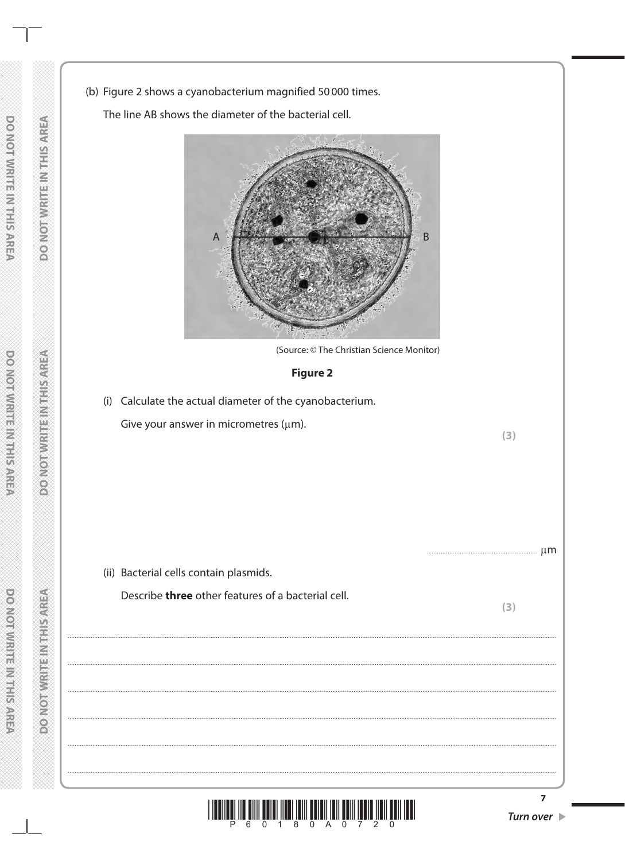(b) Figure 2 shows a cyanobacterium magnified 50 000 times.

The line AB shows the diameter of the bacterial cell.



(Source: © The Christian Science Monitor)

- **Figure 2**
- (i) Calculate the actual diameter of the cyanobacterium. Give your answer in micrometres ( $\mu$ m).  $(3)$ (ii) Bacterial cells contain plasmids. Describe three other features of a bacterial cell.  $(3)$



**DO NOTWRITE NITHS AREA** 

**DOMOTOWREEN THIS AREA** 

**COLOR**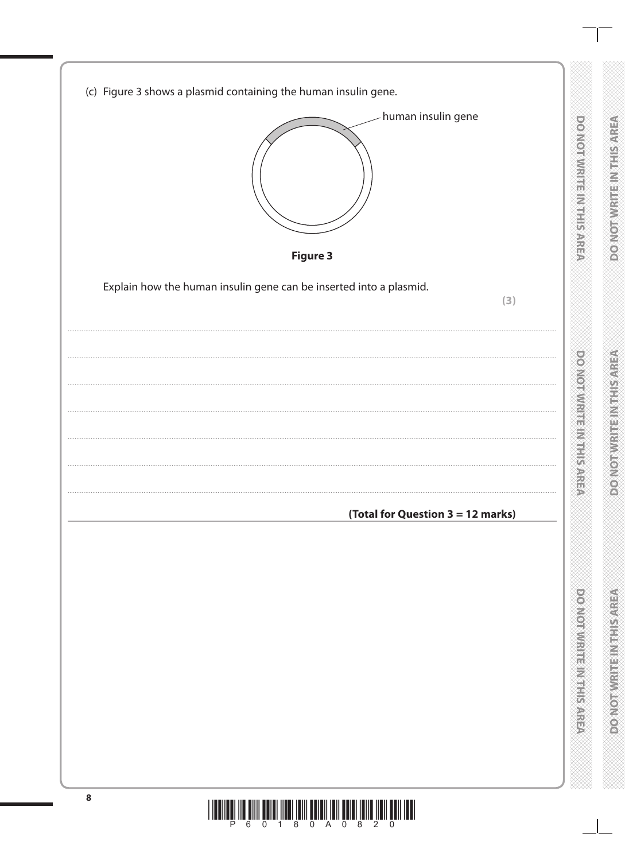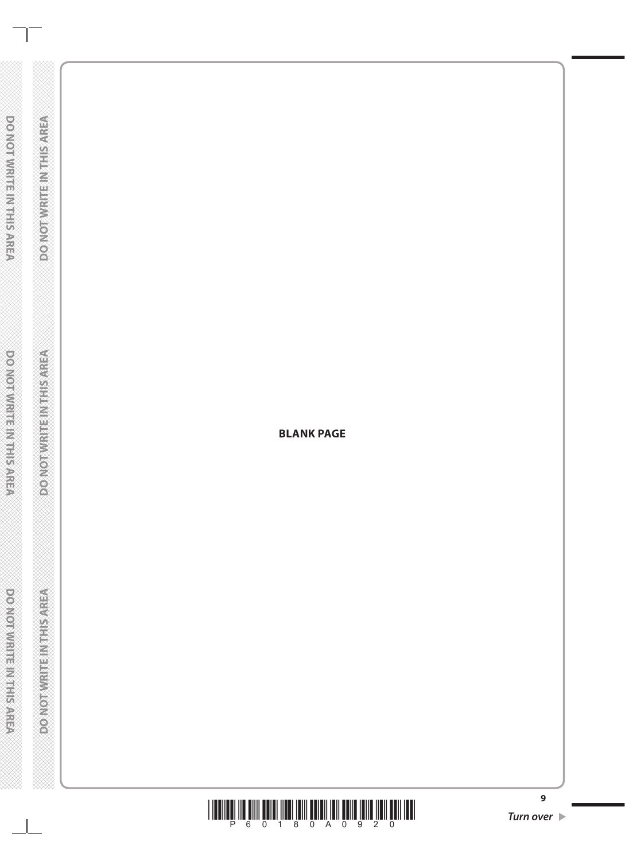| A               |  |
|-----------------|--|
|                 |  |
| è               |  |
|                 |  |
|                 |  |
| ۷               |  |
|                 |  |
|                 |  |
|                 |  |
|                 |  |
|                 |  |
|                 |  |
| $\tilde{\circ}$ |  |
|                 |  |
|                 |  |
|                 |  |
| ₩               |  |
|                 |  |
|                 |  |
| €<br>ń          |  |
|                 |  |
|                 |  |
| Š               |  |
| ì.              |  |
|                 |  |
|                 |  |
|                 |  |
| ı               |  |
|                 |  |
|                 |  |
|                 |  |
| ₩               |  |
|                 |  |
|                 |  |
| ĥń              |  |
|                 |  |
|                 |  |
|                 |  |
|                 |  |
|                 |  |
|                 |  |
| ž               |  |
|                 |  |
|                 |  |
|                 |  |
| ₩               |  |
|                 |  |
|                 |  |
|                 |  |
|                 |  |
|                 |  |
|                 |  |
|                 |  |
| e<br>15         |  |
|                 |  |
|                 |  |
|                 |  |
| š               |  |
|                 |  |
|                 |  |
|                 |  |
|                 |  |
|                 |  |
|                 |  |
|                 |  |
| a<br>Ri         |  |
| Þ<br>i          |  |
|                 |  |
|                 |  |
|                 |  |
|                 |  |

**DO NOTWRITE IN THIS AREA** 

**DO NOTWRITEINING DO NOT WRITE IN THIS AREA**

**DONOTWRITEINTHISAREA** 

DONOTWRITE IN THIS AREA **DO NOT WRITE IN THIS AREA**

DO NOT WRITE IN THIS AREA **DO NOT WRITE IN THIS AREA DO NOT WRITE IN THIS AREA DO NOT WRITE IN THIS AREA**

\*P60180A0920\* *Turn over* 

**9**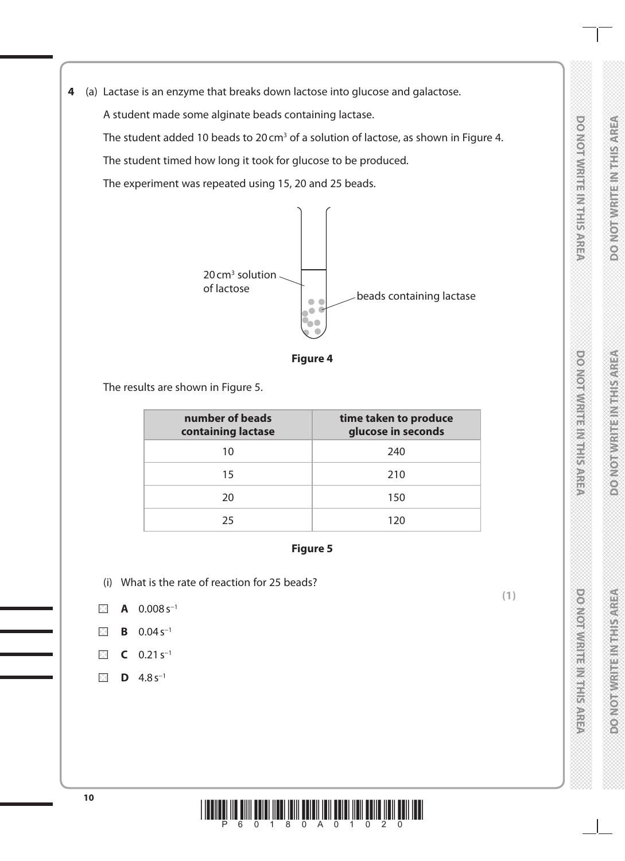**DO NOTWRITE INTHIS AREA DO NOT WRITE IN THIS AREA DO NOT WRITE IN THIS AREA DO NOT WRITE IN THIS AREA**

**DO NOT WRITE IN THIS AREA** 

**DO NOIMMRITE INTHERAREA** 

**DO NOT WRITE IN THIS AREA**

**DOMOTOMRITENTS: SARE** 

**MONORADE REPAIRING A** 

## **4** (a) Lactase is an enzyme that breaks down lactose into glucose and galactose.

A student made some alginate beads containing lactase.

The student added 10 beads to 20 cm $^{\rm 3}$  of a solution of lactose, as shown in Figure 4.

The student timed how long it took for glucose to be produced.

The experiment was repeated using 15, 20 and 25 beads.





The results are shown in Figure 5.

| number of beads<br>containing lactase | time taken to produce<br>glucose in seconds |
|---------------------------------------|---------------------------------------------|
| 10                                    | 240                                         |
| 15                                    | 210                                         |
| 20                                    | 150                                         |
| 25                                    | 1 ንበ                                        |

**Figure 5**

- (i) What is the rate of reaction for 25 beads?
- **A** 0.008s−1
- **B** 0.04s−1
- **C** 0.21s−1
- **D** 4.8s−1

**(1)**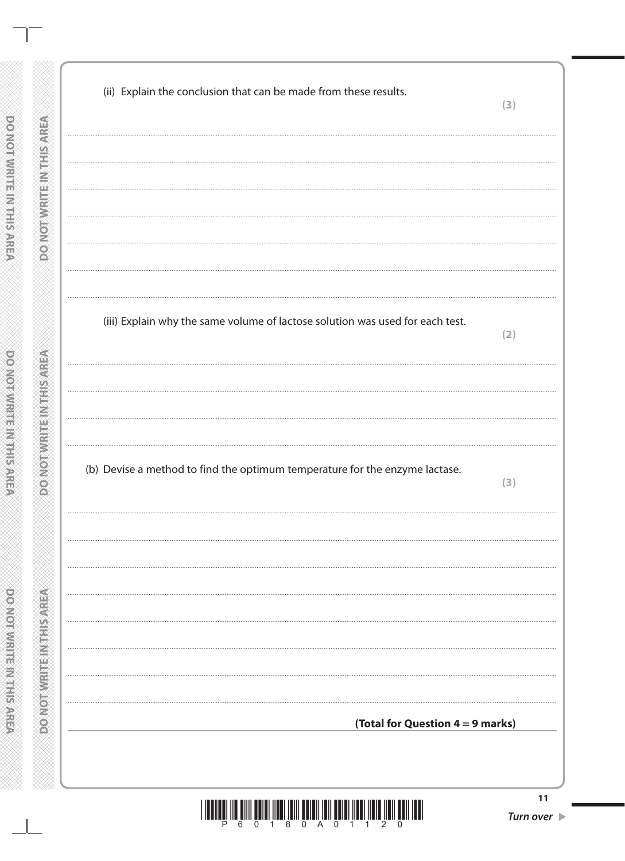| (ii) Explain the conclusion that can be made from these results.              | (3) |
|-------------------------------------------------------------------------------|-----|
|                                                                               |     |
|                                                                               |     |
|                                                                               |     |
| (iii) Explain why the same volume of lactose solution was used for each test. | (2) |
|                                                                               |     |
| (b) Devise a method to find the optimum temperature for the enzyme lactase.   | (3) |
|                                                                               |     |
|                                                                               |     |
|                                                                               |     |
| (Total for Question 4 = 9 marks)                                              |     |



**DOMOTIVIRIUS IN THIS AREA** 

DONOTWRITE IN THIS AREA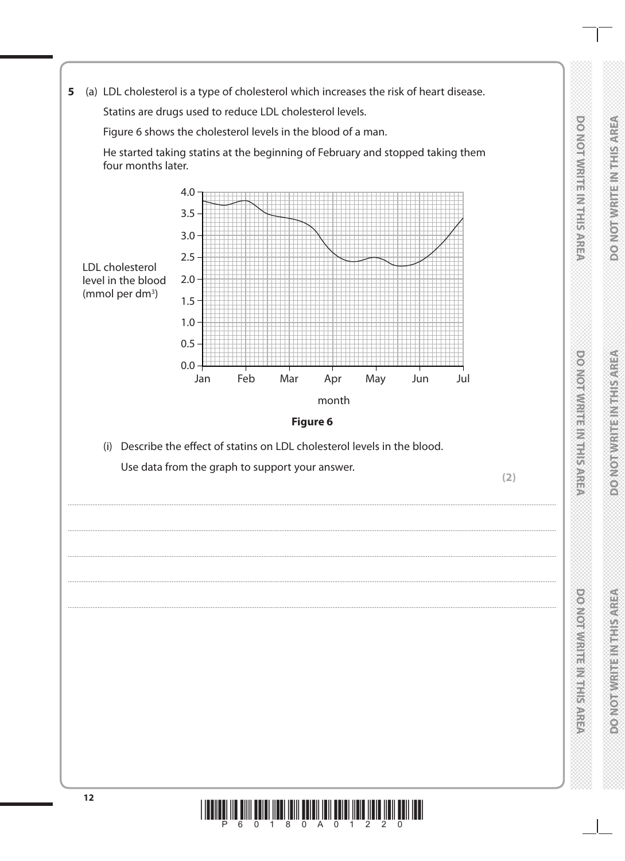

IIII 6 0 1 8 0 A 0 1 2

 $\overline{2}$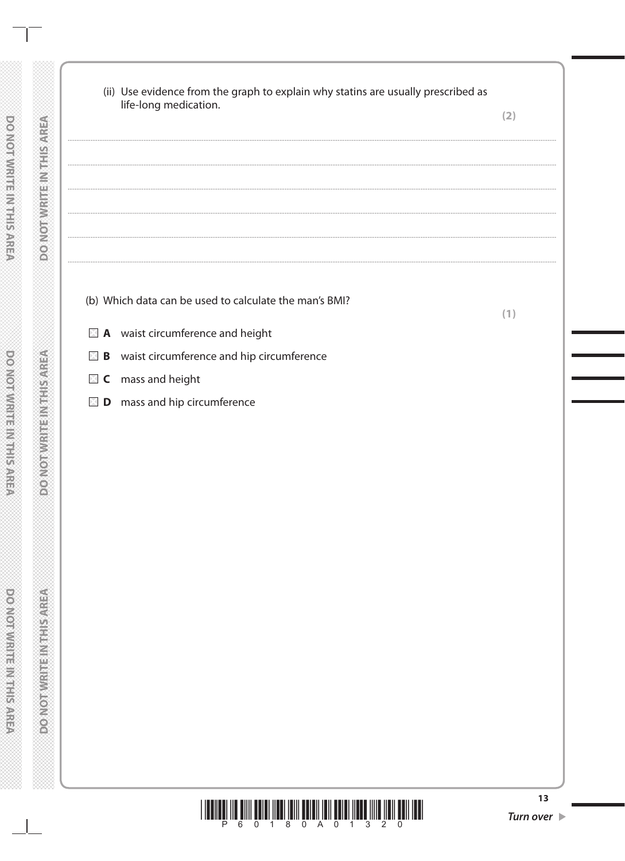| <b>THIS AREA</b><br><b>DO NOTWRITEIN</b>  | (ii) Use evidence from the graph to explain why statins are usually prescribed as<br>life-long medication.                                                                                                                                                  | (2)                                   |
|-------------------------------------------|-------------------------------------------------------------------------------------------------------------------------------------------------------------------------------------------------------------------------------------------------------------|---------------------------------------|
| <b>MOTAMARIE BY A SAMPLE</b><br>$\bullet$ | (b) Which data can be used to calculate the man's BMI?<br>$\blacksquare$ <b>A</b> waist circumference and height<br>waist circumference and hip circumference<br>$\times B$<br>$\boxtimes$ C<br>mass and height<br>mass and hip circumference<br>$\times$ D | (1)                                   |
| <b>PONOTAVE TENTHISIAREA</b>              |                                                                                                                                                                                                                                                             |                                       |
|                                           | <u>Dill ook in het bij de held het bij de het het het bij de het h</u><br><b>THEFT</b><br>6<br>P<br>$\mathbf{0}$<br>8<br>$\mathbf 0$<br>Α<br>$\mathbf 0$<br>3<br>$\overline{0}$<br>-1<br>2.                                                                 | 13<br>Turn over $\blacktriangleright$ |

**DONOTIVIALE IN ELECTRIC AREA** 

▒

 $\overline{\phantom{a}}$ 

DO NOTWRITE IN THIS AREA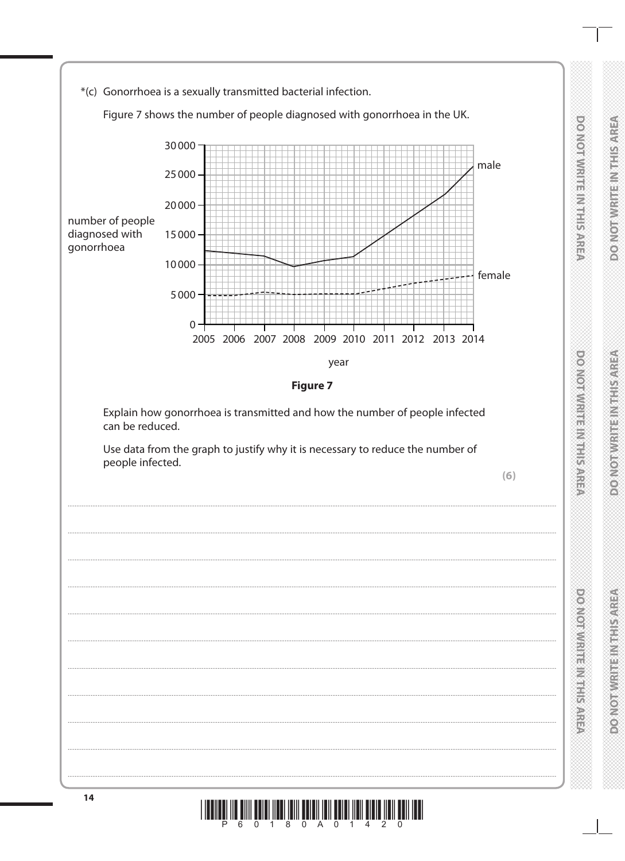

**DO NOTWRITE INTHIS AREA** 

**DOMORATE RESIDENCE** 

**PONORVIER REPORTS NOTE** 

 $0$  A  $0$  1  $\overline{0}$  $\overline{8}$ 6  $\overline{1}$  $\overline{4}$ 2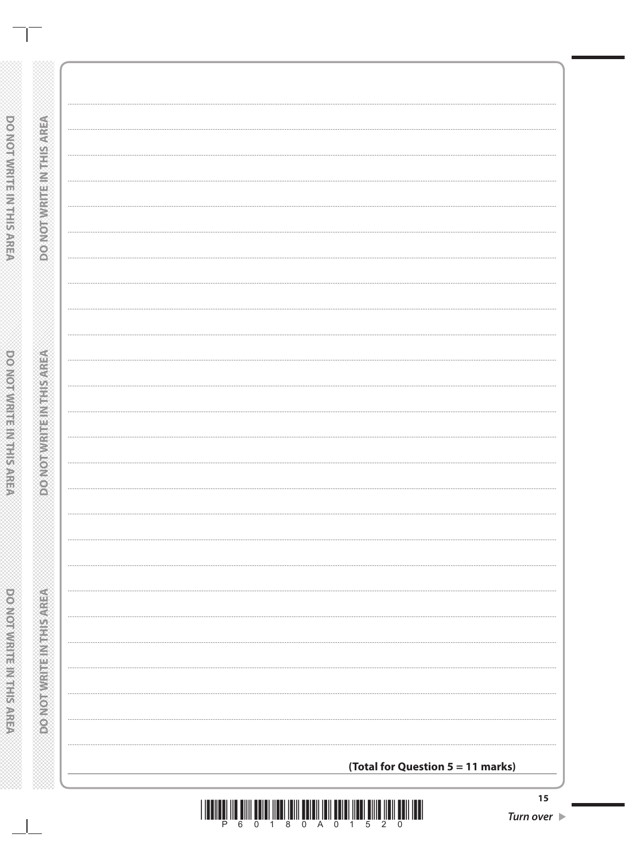| <b>DONORWEIGHT NEWS</b><br>Š<br><b>DOMORATION ENTIRES SARES</b> | Ž<br><b>HISAREA</b><br>Ź<br>ō   |  |
|-----------------------------------------------------------------|---------------------------------|--|
| <b>DOMORANTHE IN IT IS AREA</b>                                 | <b>DO NOT WRITE INTHIS AREA</b> |  |

 $\overline{\phantom{a}}$ 

 $\Box$ 

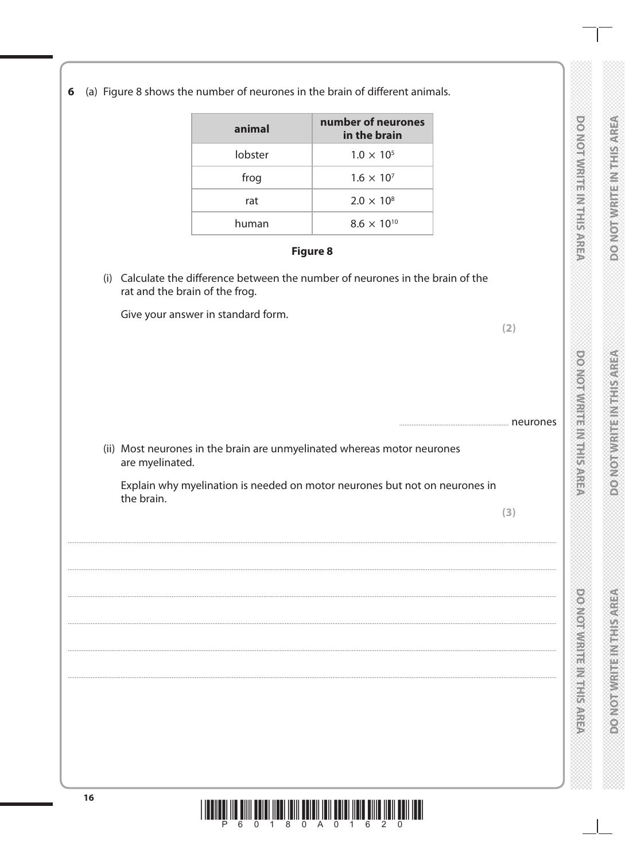number of neurones animal in the brain lobster  $1.0 \times 10^{5}$ frog  $1.6 \times 10^{7}$  $2.0 \times 10^8$ rat human  $8.6 \times 10^{10}$ Figure 8 (i) Calculate the difference between the number of neurones in the brain of the rat and the brain of the frog. Give your answer in standard form.  $(2)$ ... neurones (ii) Most neurones in the brain are unmyelinated whereas motor neurones are myelinated. Explain why myelination is needed on motor neurones but not on neurones in the brain.  $(3)$ 

**DO NOTAWRITE INTERAREA** 

**DOMORWRHEIMANDSARE** 

**PONDORMAN EXPERIENCE** 

**MONORADE REPAIRING A** 

**DOMORAVE READERS ARES** 

**DO NOTWRITEINTH SAREA** 

6 (a) Figure 8 shows the number of neurones in the brain of different animals.

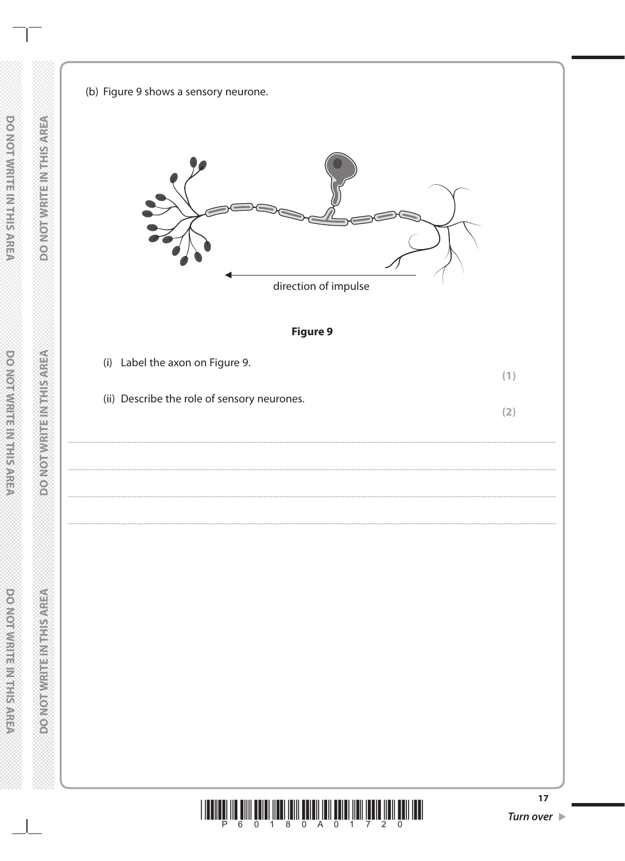

DONORMATE M THIS AREA

DO NOT WRITE IN THIS AREA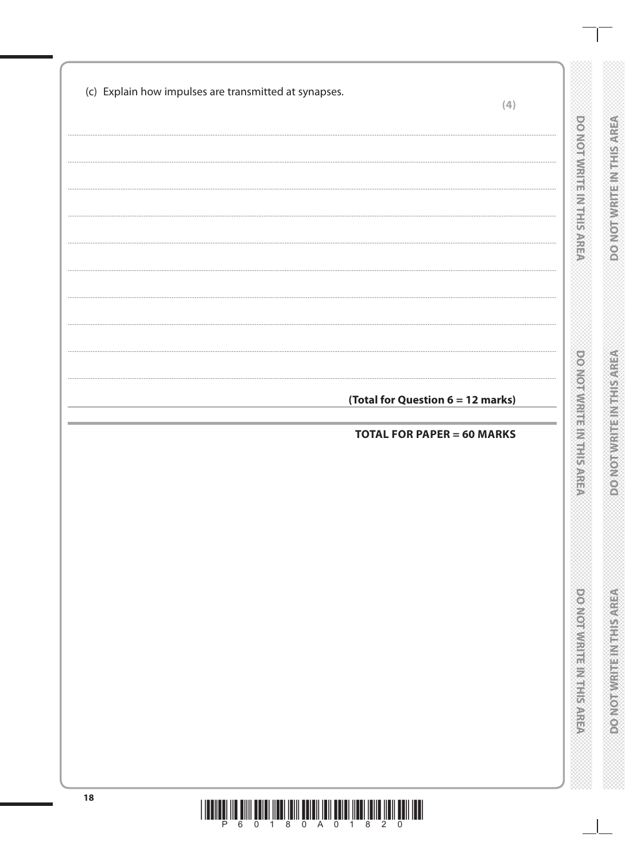| (4)                                                                    | <b>DOMOTIVE EINE EINER SAREA</b>      | <b>POINOTHERNHEIMSTOWOO</b>      |
|------------------------------------------------------------------------|---------------------------------------|----------------------------------|
| (Total for Question 6 = 12 marks)<br><b>TOTAL FOR PAPER = 60 MARKS</b> | <b>DOMESTIC REMARKABLE AND STREET</b> | O<br>O                           |
|                                                                        | ponomic material property             | <b>DONORWAYS READY THIS AREA</b> |

**XXXX**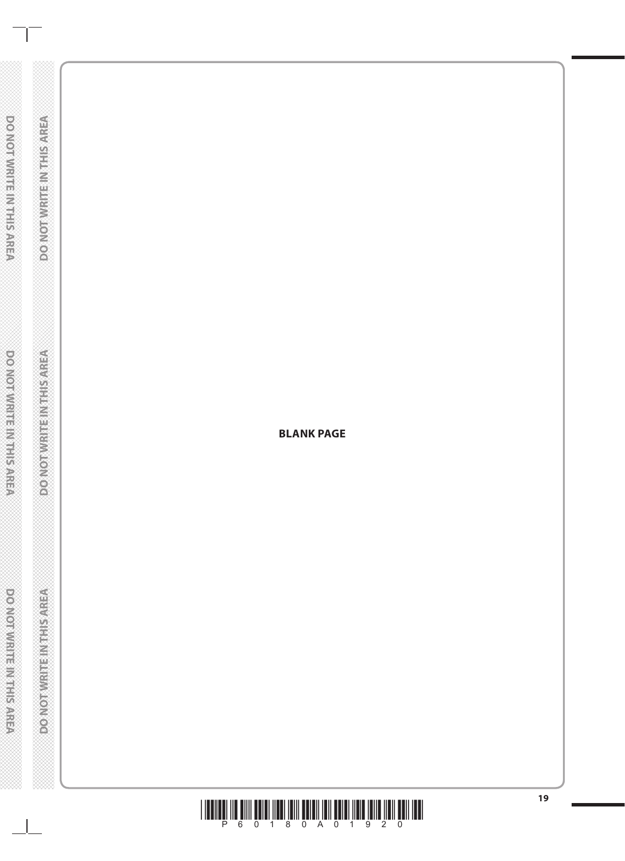|   | m      |        |   |
|---|--------|--------|---|
|   |        |        |   |
|   |        |        |   |
|   |        |        |   |
|   |        |        |   |
|   | Ç      |        |   |
|   |        |        |   |
|   | Ž      |        | í |
|   |        |        |   |
|   |        |        |   |
|   | ĕ      |        | ì |
|   |        |        |   |
|   | ę      |        |   |
|   |        |        |   |
|   | ≫      |        |   |
|   | ö      |        |   |
|   | ₩      |        |   |
|   |        |        |   |
|   | ≷      |        |   |
|   |        |        |   |
|   |        |        |   |
|   | þ      |        |   |
|   |        |        |   |
|   | æ      |        |   |
|   |        |        |   |
|   |        |        |   |
|   |        |        |   |
|   | i<br>M | i<br>P |   |
|   |        |        |   |
|   |        |        |   |
|   | ××.    |        |   |
|   | ₩      |        |   |
|   |        |        |   |
|   | š      | ÷.     |   |
|   |        |        |   |
|   |        |        |   |
|   | ₩      |        |   |
|   |        |        |   |
|   |        |        |   |
|   |        |        |   |
|   | æ      |        |   |
|   |        |        |   |
|   | ź      | ķ      |   |
|   |        |        |   |
|   |        |        |   |
|   |        |        |   |
|   |        |        |   |
|   |        |        |   |
| š | h      |        |   |
|   | š      |        |   |
|   | i      | j      |   |
| š |        |        |   |
|   |        |        |   |
|   | I      |        |   |
| ì |        |        |   |
|   |        |        |   |
| ì |        |        |   |
|   |        |        |   |
|   |        |        |   |
|   |        |        |   |
|   |        |        |   |
|   |        |        |   |
|   |        |        |   |

 $\overline{\phantom{a}}$ 

**DO NOT WRITE IN THIS AREA DO NOT WRITE IN THIS AREA DO NOT WRITE IN THIS AREA DONOTWRITEINTHISAREA DO NORWARE IN THIS AREA** 

DO NOT WRITE IN THIS AREA